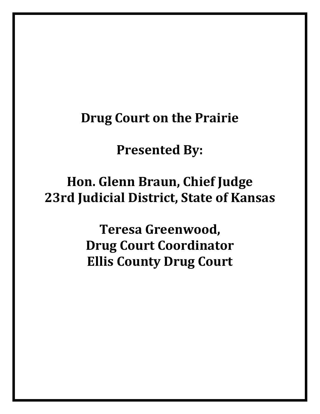#### **Drug Court on the Prairie**

#### **Presented By:**

#### **Hon. Glenn Braun, Chief Judge 23rd Judicial District, State of Kansas**

**Teresa Greenwood, Drug Court Coordinator Ellis County Drug Court**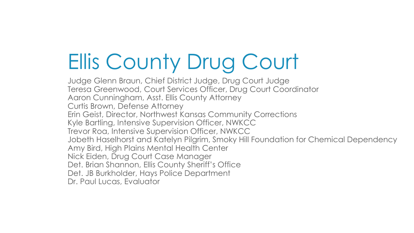# Ellis County Drug Court

Judge Glenn Braun, Chief District Judge, Drug Court Judge Teresa Greenwood, Court Services Officer, Drug Court Coordinator Aaron Cunningham, Asst. Ellis County Attorney Curtis Brown, Defense Attorney Erin Geist, Director, Northwest Kansas Community Corrections Kyle Bartling, Intensive Supervision Officer, NWKCC Trevor Roa, Intensive Supervision Officer, NWKCC Jobeth Haselhorst and Katelyn Pilgrim, Smoky Hill Foundation for Chemical Dependency Amy Bird, High Plains Mental Health Center Nick Eiden, Drug Court Case Manager Det. Brian Shannon, Ellis County Sheriff's Office Det. JB Burkholder, Hays Police Department Dr. Paul Lucas, Evaluator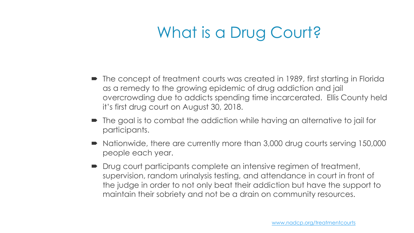# What is a Drug Court?

- The concept of treatment courts was created in 1989, first starting in Florida as a remedy to the growing epidemic of drug addiction and jail overcrowding due to addicts spending time incarcerated. Ellis County held it's first drug court on August 30, 2018.
- The goal is to combat the addiction while having an alternative to jail for participants.
- Nationwide, there are currently more than 3,000 drug courts serving 150,000 people each year.
- Drug court participants complete an intensive regimen of treatment, supervision, random urinalysis testing, and attendance in court in front of the judge in order to not only beat their addiction but have the support to maintain their sobriety and not be a drain on community resources.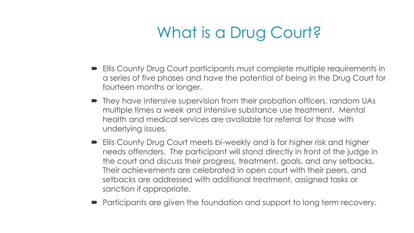# What is a Drug Court?

- Ellis County Drug Court participants must complete multiple requirements in a series of five phases and have the potential of being in the Drug Court for fourteen months or longer.
- They have intensive supervision from their probation officers, random UAs multiple times a week and intensive substance use treatment. Mental health and medical services are available for referral for those with underlying issues.
- Ellis County Drug Court meets bi-weekly and is for higher risk and higher needs offenders. The participant will stand directly in front of the judge in the court and discuss their progress, treatment, goals, and any setbacks. Their achievements are celebrated in open court with their peers, and setbacks are addressed with additional treatment, assigned tasks or sanction if appropriate.
- Participants are given the foundation and support to long term recovery.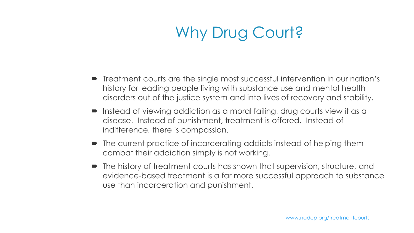# Why Drug Court?

- Treatment courts are the single most successful intervention in our nation's history for leading people living with substance use and mental health disorders out of the justice system and into lives of recovery and stability.
- Instead of viewing addiction as a moral failing, drug courts view it as a disease. Instead of punishment, treatment is offered. Instead of indifference, there is compassion.
- The current practice of incarcerating addicts instead of helping them combat their addiction simply is not working.
- The history of treatment courts has shown that supervision, structure, and evidence-based treatment is a far more successful approach to substance use than incarceration and punishment.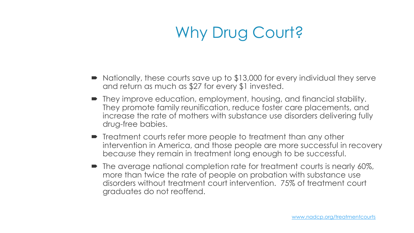# Why Drug Court?

- Nationally, these courts save up to \$13,000 for every individual they serve and return as much as \$27 for every \$1 invested.
- They improve education, employment, housing, and financial stability. They promote family reunification, reduce foster care placements, and increase the rate of mothers with substance use disorders delivering fully drug-free babies.
- $\blacksquare$  Treatment courts refer more people to treatment than any other intervention in America, and those people are more successful in recovery because they remain in treatment long enough to be successful.
- The average national completion rate for treatment courts is nearly 60%, more than twice the rate of people on probation with substance use disorders without treatment court intervention. 75% of treatment court graduates do not reoffend.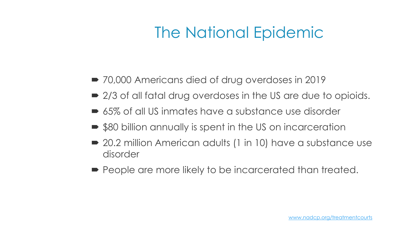#### The National Epidemic

- 70,000 Americans died of drug overdoses in 2019
- 2/3 of all fatal drug overdoses in the US are due to opioids.
- 65% of all US inmates have a substance use disorder
- \$80 billion annually is spent in the US on incarceration
- 20.2 million American adults (1 in 10) have a substance use disorder
- **People are more likely to be incarcerated than treated.**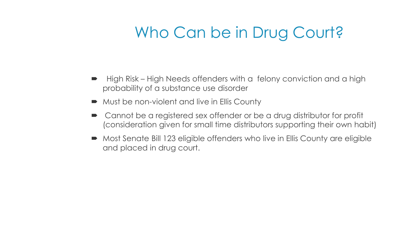#### Who Can be in Drug Court?

- High Risk High Needs offenders with a felony conviction and a high probability of a substance use disorder
- Must be non-violent and live in Ellis County
- Cannot be a registered sex offender or be a drug distributor for profit (consideration given for small time distributors supporting their own habit)
- Most Senate Bill 123 eligible offenders who live in Ellis County are eligible and placed in drug court.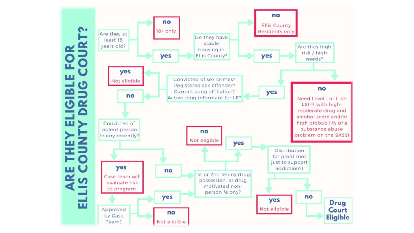#### <u> Λ.</u>  $\boldsymbol{\alpha}$ FOR 0  $\mathbf U$ ш  $\mathbf C$ **IBL** E  $\overline{O}$  $\propto$  $\mathbf{\Omega}$ Ě ш ΣY O **LU U AR**  $\mathbf{v}$ 긊

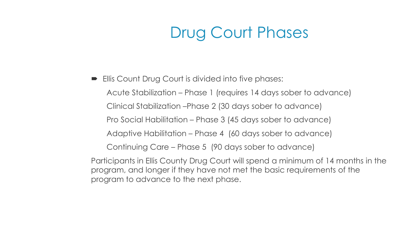#### Drug Court Phases

 Ellis Count Drug Court is divided into five phases: Acute Stabilization – Phase 1 (requires 14 days sober to advance) Clinical Stabilization –Phase 2 (30 days sober to advance) Pro Social Habilitation – Phase 3 (45 days sober to advance) Adaptive Habilitation – Phase 4 (60 days sober to advance) Continuing Care – Phase 5 (90 days sober to advance) Participants in Ellis County Drug Court will spend a minimum of 14 months in the

program, and longer if they have not met the basic requirements of the program to advance to the next phase.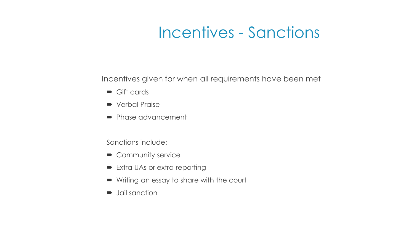#### Incentives - Sanctions

Incentives given for when all requirements have been met

- Gift cards
- Verbal Praise
- Phase advancement

Sanctions include:

- Community service
- **Extra UAs or extra reporting**
- Writing an essay to share with the court
- **D** Jail sanction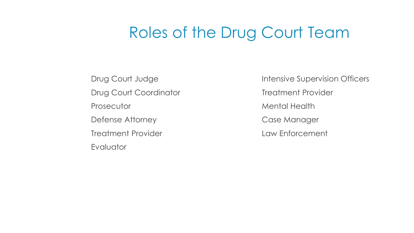#### Roles of the Drug Court Team

Drug Court Coordinator Treatment Provider Prosecutor **Mental Health** Defense Attorney **Case Manager** Treatment Provider **Law Enforcement Evaluator** 

Drug Court Judge **Intensive Supervision Officers**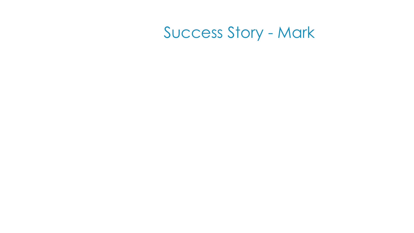#### Success Story - Mark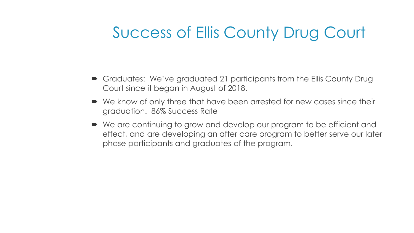#### Success of Ellis County Drug Court

- Graduates: We've graduated 21 participants from the Ellis County Drug Court since it began in August of 2018.
- We know of only three that have been arrested for new cases since their graduation. 86% Success Rate
- We are continuing to grow and develop our program to be efficient and effect, and are developing an after care program to better serve our later phase participants and graduates of the program.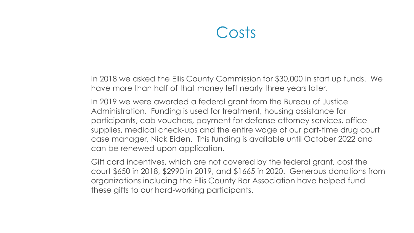#### Costs

In 2018 we asked the Ellis County Commission for \$30,000 in start up funds. We have more than half of that money left nearly three years later.

In 2019 we were awarded a federal grant from the Bureau of Justice Administration. Funding is used for treatment, housing assistance for participants, cab vouchers, payment for defense attorney services, office supplies, medical check-ups and the entire wage of our part-time drug court case manager, Nick Eiden. This funding is available until October 2022 and can be renewed upon application.

Gift card incentives, which are not covered by the federal grant, cost the court \$650 in 2018, \$2990 in 2019, and \$1665 in 2020. Generous donations from organizations including the Ellis County Bar Association have helped fund these gifts to our hard-working participants.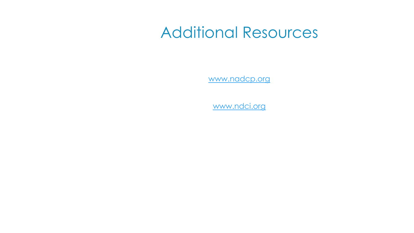#### Additional Resources

[www.nadcp.org](http://www.nadcp.org/)

[www.ndci.org](http://www.ndci.org/)